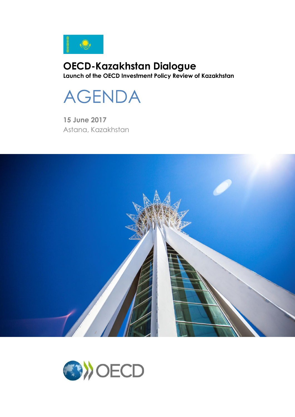

# **OECD-Kazakhstan Dialogue Launch of the OECD Investment Policy Review of Kazakhstan**



**15 June 2017** Astana, Kazakhstan



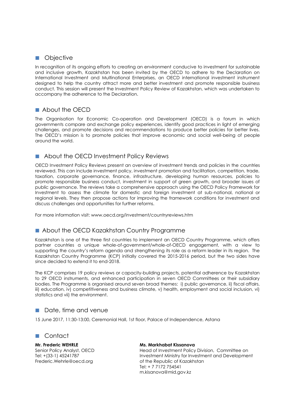### **Objective**

In recognition of its ongoing efforts to creating an environment conducive to investment for sustainable and inclusive growth, Kazakhstan has been invited by the OECD to adhere to the Declaration on International Investment and Multinational Enterprises, an OECD international investment instrument designed to help the country attract more and better investment and promote responsible business conduct. This session will present the Investment Policy Review of Kazakhstan, which was undertaken to accompany the adherence to the Declaration.

## **About the OFCD**

The Organisation for Economic Co-operation and Development (OECD) is a forum in which governments compare and exchange policy experiences, identify good practices in light of emerging challenges, and promote decisions and recommendations to produce better policies for better lives. The OECD's mission is to promote policies that improve economic and social well-being of people around the world.

## About the OECD Investment Policy Reviews

OECD Investment Policy Reviews present an overview of investment trends and policies in the countries reviewed. This can include investment policy, investment promotion and facilitation, competition, trade, taxation, corporate governance, finance, infrastructure, developing human resources, policies to promote responsible business conduct, investment in support of green growth, and broader issues of public governance. The reviews take a comprehensive approach using the OECD Policy Framework for Investment to assess the climate for domestic and foreign investment at sub-national, national or regional levels. They then propose actions for improving the framework conditions for investment and discuss challenges and opportunities for further reforms.

For more information visit: www.oecd.org/investment/countryreviews.htm

#### About the OECD Kazakhstan Country Programme

Kazakhstan is one of the three first countries to implement an OECD Country Programme, which offers partner countries a unique whole-of-government/whole-of-OECD engagement, with a view to supporting the country's reform agenda and strengthening its role as a reform leader in its region. The Kazakhstan Country Programme (KCP) initially covered the 2015-2016 period, but the two sides have since decided to extend it to end-2018.

The KCP comprises 19 policy reviews or capacity-building projects, potential adherence by Kazakhstan to 29 OECD instruments, and enhanced participation in seven OECD Committees or their subsidiary bodies. The Programme is organised around seven broad themes: i) public governance, ii) fiscal affairs, iii) education, iv) competitiveness and business climate, v) health, employment and social inclusion, vi) statistics and vii) the environment.

#### **Date, time and venue**

15 June 2017, 11:30-13:00, Ceremonial Hall, 1st floor, Palace of Independence, Astana

#### Contact

**Mr. Frederic WEHRLE** Senior Policy Analyst, OECD Tel: +(33-1) 45241787 Frederic.Wehrle@oecd.org

#### **Ms. Markhabat Kissanova**

Head of Investment Policy Division, Committee on Investment Ministry for Investment and Development of the Republic of Kazakhstan Tel: + 7 7172 754541 m.kisanova@mid.gov.kz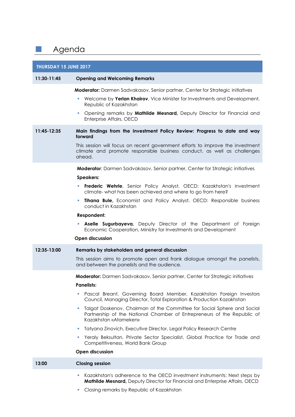# **Agenda**

| THURSDAY 15 JUNE 2017 |                                                                                                                                                                                          |
|-----------------------|------------------------------------------------------------------------------------------------------------------------------------------------------------------------------------------|
| 11:30-11:45           | <b>Opening and Welcoming Remarks</b>                                                                                                                                                     |
|                       | Moderator: Darmen Sadvakasov, Senior partner, Center for Strategic initiatives                                                                                                           |
|                       | Welcome by Yerlan Khairov, Vice Minister for Investments and Development,<br>Republic of Kazakhstan                                                                                      |
|                       | Opening remarks by Mathilde Mesnard, Deputy Director for Financial and<br>٠<br>Enterprise Affairs, OECD                                                                                  |
| 11:45-12:35           | Main findings from the Investment Policy Review: Progress to date and way<br>forward                                                                                                     |
|                       | This session will focus on recent government efforts to improve the investment<br>climate and promote responsible business conduct, as well as challenges<br>ahead.                      |
|                       | <b>Moderator:</b> Darmen Sadvakasov, Senior partner, Center for Strategic initiatives                                                                                                    |
|                       | <b>Speakers:</b>                                                                                                                                                                         |
|                       | Frederic Wehrle, Senior Policy Analyst, OECD: Kazakhstan's investment<br>E<br>climate- what has been achieved and where to go from here?                                                 |
|                       | <b>Tihana Bule, Economist and Policy Analyst, OECD: Responsible business</b><br>conduct in Kazakhstan                                                                                    |
|                       | <b>Respondent:</b>                                                                                                                                                                       |
|                       | Aselle Sugurbayeva, Deputy Director of the Department of Foreign<br>Economic Cooperation, Ministry for Investments and Development                                                       |
|                       | <b>Open discussion</b>                                                                                                                                                                   |
| 12:35-13:00           | Remarks by stakeholders and general discussion                                                                                                                                           |
|                       | This session aims to promote open and frank dialogue amongst the panelists,<br>and between the panelists and the audience.                                                               |
|                       | <b>Moderator:</b> Darmen Sadvakasov, Senior partner, Center for Strategic initiatives<br><b>Panelists:</b>                                                                               |
|                       | Pascal Breant, Governing Board Member, Kazakhstan Foreign Investors<br>u,<br>Council, Managing Director, Total Exploration & Production Kazakhstan                                       |
|                       | Talgat Doskenov, Chairman of the Committee for Social Sphere and Social<br>H.<br>Partnership of the National Chamber of Entrepreneurs of the Republic of<br><b>Kazakhstan «Atameken»</b> |
|                       | Tatyana Zinovich, Executive Director, Legal Policy Research Centre<br>ш                                                                                                                  |
|                       | Yeraly Beksultan, Private Sector Specialist, Global Practice for Trade and<br>a.<br>Competitiveness, World Bank Group                                                                    |
|                       | <b>Open discussion</b>                                                                                                                                                                   |
| 13:00                 | <b>Closing session</b>                                                                                                                                                                   |
|                       | Kazakhstan's adherence to the OECD investment instruments: Next steps by<br>ш<br>Mathilde Mesnard, Deputy Director for Financial and Enterprise Affairs, OECD                            |

Closing remarks by Republic of Kazakhstan